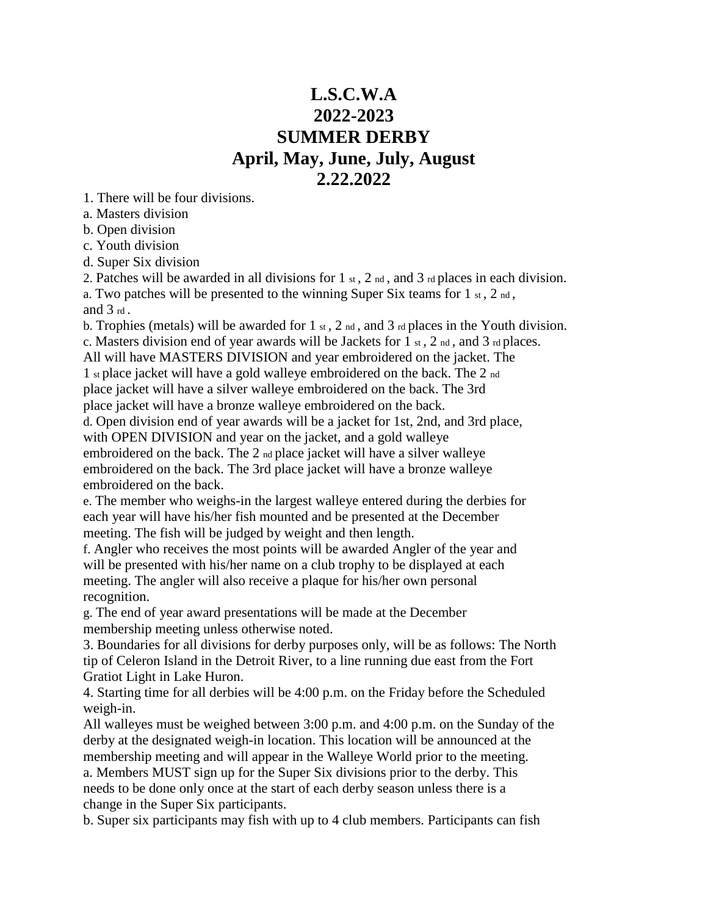# **L.S.C.W.A 2022-2023 SUMMER DERBY April, May, June, July, August 2.22.2022**

1. There will be four divisions.

a. Masters division

b. Open division

c. Youth division

d. Super Six division

2. Patches will be awarded in all divisions for  $1 \times t$ ,  $2 \times d$ , and  $3 \times d$  places in each division. a. Two patches will be presented to the winning Super Six teams for  $1 \text{ st}$ ,  $2 \text{ nd}$ ,

and 3 rd .

b. Trophies (metals) will be awarded for 1  $_{\text{st}}$ , 2  $_{\text{nd}}$ , and 3  $_{\text{rd}}$  places in the Youth division. c. Masters division end of year awards will be Jackets for 1  $\mathrm{st}$ , 2  $\mathrm{nd}$ , and 3  $\mathrm{rd}$  places.

All will have MASTERS DIVISION and year embroidered on the jacket. The

1 st place jacket will have a gold walleye embroidered on the back. The 2 nd place jacket will have a silver walleye embroidered on the back. The 3rd place jacket will have a bronze walleye embroidered on the back.

d. Open division end of year awards will be a jacket for 1st, 2nd, and 3rd place, with OPEN DIVISION and year on the jacket, and a gold walleye embroidered on the back. The 2 nd place jacket will have a silver walleye embroidered on the back. The 3rd place jacket will have a bronze walleye embroidered on the back.

e. The member who weighs-in the largest walleye entered during the derbies for each year will have his/her fish mounted and be presented at the December meeting. The fish will be judged by weight and then length.

f. Angler who receives the most points will be awarded Angler of the year and will be presented with his/her name on a club trophy to be displayed at each meeting. The angler will also receive a plaque for his/her own personal recognition.

g. The end of year award presentations will be made at the December membership meeting unless otherwise noted.

3. Boundaries for all divisions for derby purposes only, will be as follows: The North tip of Celeron Island in the Detroit River, to a line running due east from the Fort Gratiot Light in Lake Huron.

4. Starting time for all derbies will be 4:00 p.m. on the Friday before the Scheduled weigh-in.

All walleyes must be weighed between 3:00 p.m. and 4:00 p.m. on the Sunday of the derby at the designated weigh-in location. This location will be announced at the membership meeting and will appear in the Walleye World prior to the meeting.

a. Members MUST sign up for the Super Six divisions prior to the derby. This needs to be done only once at the start of each derby season unless there is a change in the Super Six participants.

b. Super six participants may fish with up to 4 club members. Participants can fish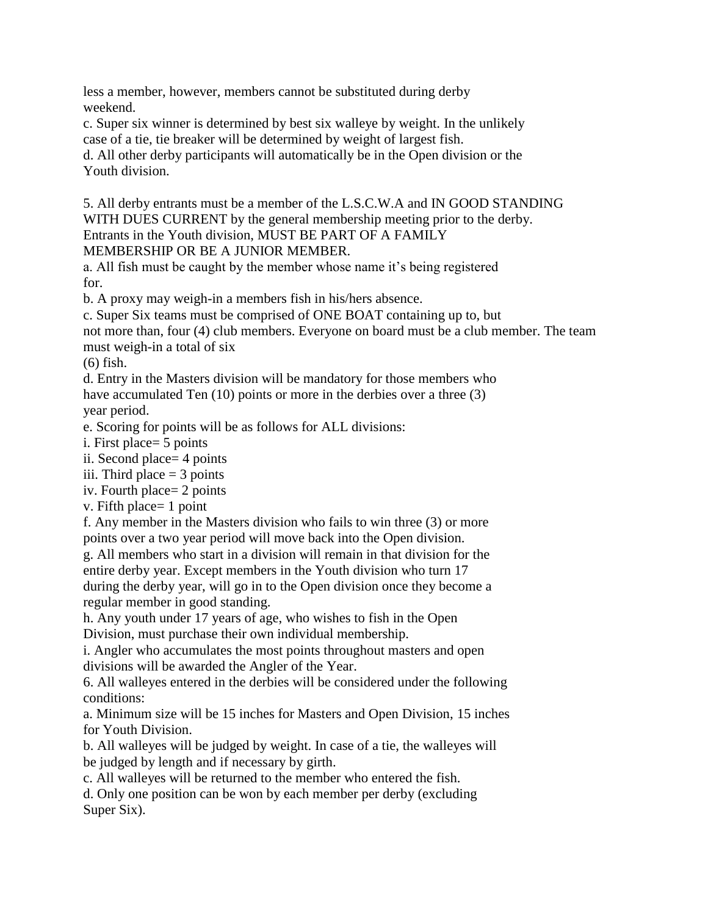less a member, however, members cannot be substituted during derby weekend.

c. Super six winner is determined by best six walleye by weight. In the unlikely case of a tie, tie breaker will be determined by weight of largest fish.

d. All other derby participants will automatically be in the Open division or the Youth division.

5. All derby entrants must be a member of the L.S.C.W.A and IN GOOD STANDING WITH DUES CURRENT by the general membership meeting prior to the derby. Entrants in the Youth division, MUST BE PART OF A FAMILY MEMBERSHIP OR BE A JUNIOR MEMBER.

a. All fish must be caught by the member whose name it's being registered for.

b. A proxy may weigh-in a members fish in his/hers absence.

c. Super Six teams must be comprised of ONE BOAT containing up to, but

not more than, four (4) club members. Everyone on board must be a club member. The team must weigh-in a total of six

(6) fish.

d. Entry in the Masters division will be mandatory for those members who have accumulated Ten (10) points or more in the derbies over a three (3) year period.

e. Scoring for points will be as follows for ALL divisions:

i. First place= 5 points

ii. Second place= 4 points

iii. Third place  $=$  3 points

iv. Fourth place= 2 points

v. Fifth place= 1 point

f. Any member in the Masters division who fails to win three (3) or more points over a two year period will move back into the Open division.

g. All members who start in a division will remain in that division for the entire derby year. Except members in the Youth division who turn 17 during the derby year, will go in to the Open division once they become a regular member in good standing.

h. Any youth under 17 years of age, who wishes to fish in the Open Division, must purchase their own individual membership.

i. Angler who accumulates the most points throughout masters and open divisions will be awarded the Angler of the Year.

6. All walleyes entered in the derbies will be considered under the following conditions:

a. Minimum size will be 15 inches for Masters and Open Division, 15 inches for Youth Division.

b. All walleyes will be judged by weight. In case of a tie, the walleyes will be judged by length and if necessary by girth.

c. All walleyes will be returned to the member who entered the fish.

d. Only one position can be won by each member per derby (excluding Super Six).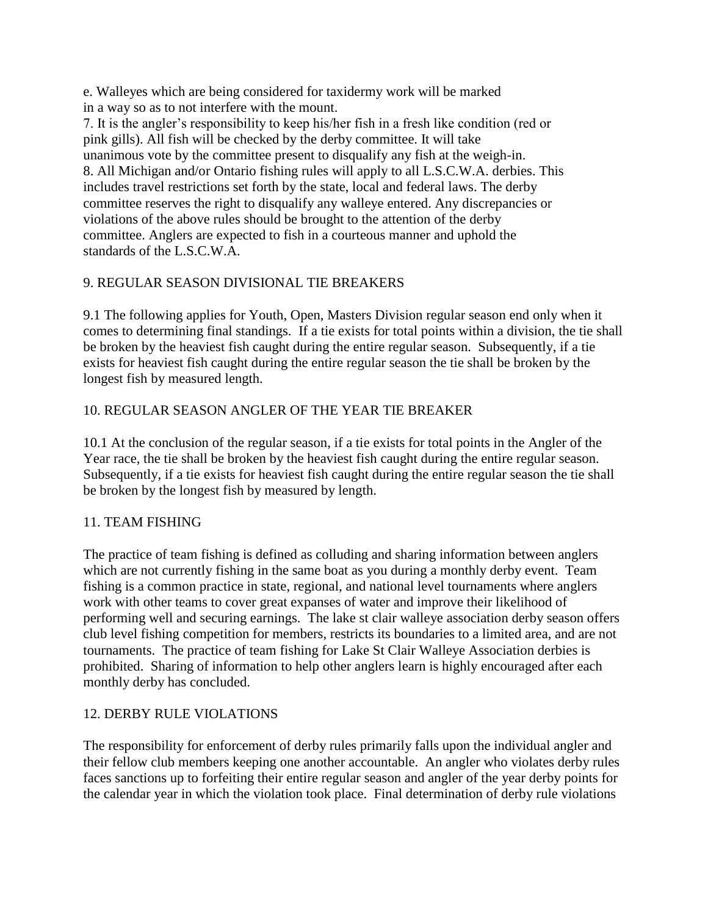e. Walleyes which are being considered for taxidermy work will be marked in a way so as to not interfere with the mount.

7. It is the angler's responsibility to keep his/her fish in a fresh like condition (red or pink gills). All fish will be checked by the derby committee. It will take unanimous vote by the committee present to disqualify any fish at the weigh-in. 8. All Michigan and/or Ontario fishing rules will apply to all L.S.C.W.A. derbies. This includes travel restrictions set forth by the state, local and federal laws. The derby committee reserves the right to disqualify any walleye entered. Any discrepancies or violations of the above rules should be brought to the attention of the derby committee. Anglers are expected to fish in a courteous manner and uphold the standards of the L.S.C.W.A.

# 9. REGULAR SEASON DIVISIONAL TIE BREAKERS

9.1 The following applies for Youth, Open, Masters Division regular season end only when it comes to determining final standings. If a tie exists for total points within a division, the tie shall be broken by the heaviest fish caught during the entire regular season. Subsequently, if a tie exists for heaviest fish caught during the entire regular season the tie shall be broken by the longest fish by measured length.

# 10. REGULAR SEASON ANGLER OF THE YEAR TIE BREAKER

10.1 At the conclusion of the regular season, if a tie exists for total points in the Angler of the Year race, the tie shall be broken by the heaviest fish caught during the entire regular season. Subsequently, if a tie exists for heaviest fish caught during the entire regular season the tie shall be broken by the longest fish by measured by length.

### 11. TEAM FISHING

The practice of team fishing is defined as colluding and sharing information between anglers which are not currently fishing in the same boat as you during a monthly derby event. Team fishing is a common practice in state, regional, and national level tournaments where anglers work with other teams to cover great expanses of water and improve their likelihood of performing well and securing earnings. The lake st clair walleye association derby season offers club level fishing competition for members, restricts its boundaries to a limited area, and are not tournaments. The practice of team fishing for Lake St Clair Walleye Association derbies is prohibited. Sharing of information to help other anglers learn is highly encouraged after each monthly derby has concluded.

### 12. DERBY RULE VIOLATIONS

The responsibility for enforcement of derby rules primarily falls upon the individual angler and their fellow club members keeping one another accountable. An angler who violates derby rules faces sanctions up to forfeiting their entire regular season and angler of the year derby points for the calendar year in which the violation took place. Final determination of derby rule violations